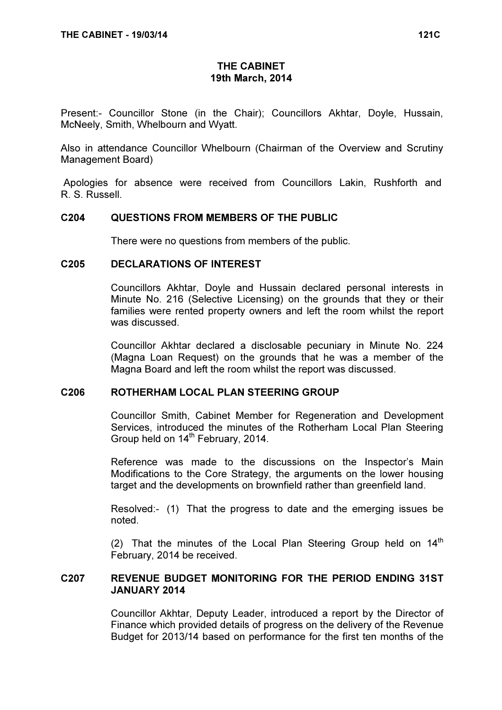# THE CABINET 19th March, 2014

Present:- Councillor Stone (in the Chair); Councillors Akhtar, Doyle, Hussain, McNeely, Smith, Whelbourn and Wyatt.

Also in attendance Councillor Whelbourn (Chairman of the Overview and Scrutiny Management Board)

 Apologies for absence were received from Councillors Lakin, Rushforth and R. S. Russell.

#### C204 QUESTIONS FROM MEMBERS OF THE PUBLIC

There were no questions from members of the public.

#### C205 DECLARATIONS OF INTEREST

 Councillors Akhtar, Doyle and Hussain declared personal interests in Minute No. 216 (Selective Licensing) on the grounds that they or their families were rented property owners and left the room whilst the report was discussed.

Councillor Akhtar declared a disclosable pecuniary in Minute No. 224 (Magna Loan Request) on the grounds that he was a member of the Magna Board and left the room whilst the report was discussed.

#### C206 ROTHERHAM LOCAL PLAN STEERING GROUP

 Councillor Smith, Cabinet Member for Regeneration and Development Services, introduced the minutes of the Rotherham Local Plan Steering Group held on 14<sup>th</sup> February, 2014.

Reference was made to the discussions on the Inspector's Main Modifications to the Core Strategy, the arguments on the lower housing target and the developments on brownfield rather than greenfield land.

Resolved:- (1) That the progress to date and the emerging issues be noted.

(2) That the minutes of the Local Plan Steering Group held on  $14<sup>th</sup>$ February, 2014 be received.

### C207 REVENUE BUDGET MONITORING FOR THE PERIOD ENDING 31ST JANUARY 2014

 Councillor Akhtar, Deputy Leader, introduced a report by the Director of Finance which provided details of progress on the delivery of the Revenue Budget for 2013/14 based on performance for the first ten months of the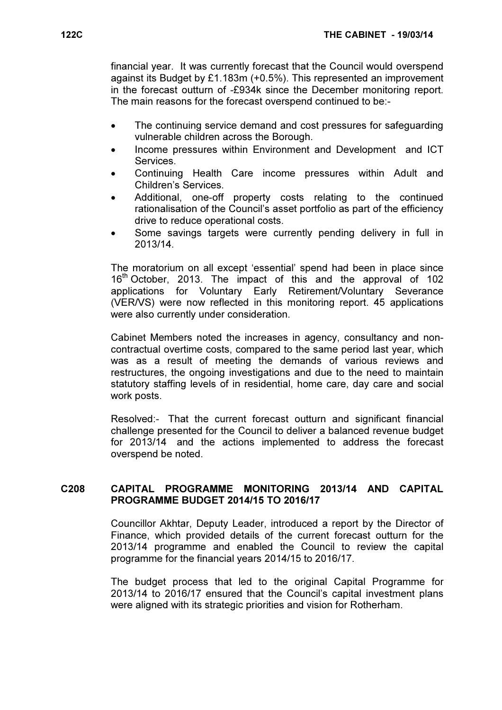financial year. It was currently forecast that the Council would overspend against its Budget by £1.183m (+0.5%). This represented an improvement in the forecast outturn of -£934k since the December monitoring report. The main reasons for the forecast overspend continued to be:-

- The continuing service demand and cost pressures for safeguarding vulnerable children across the Borough.
- Income pressures within Environment and Development and ICT Services.
- Continuing Health Care income pressures within Adult and Children's Services.
- Additional, one-off property costs relating to the continued rationalisation of the Council's asset portfolio as part of the efficiency drive to reduce operational costs.
- Some savings targets were currently pending delivery in full in 2013/14.

The moratorium on all except 'essential' spend had been in place since 16<sup>th</sup> October, 2013. The impact of this and the approval of 102 applications for Voluntary Early Retirement/Voluntary Severance (VER/VS) were now reflected in this monitoring report. 45 applications were also currently under consideration.

Cabinet Members noted the increases in agency, consultancy and noncontractual overtime costs, compared to the same period last year, which was as a result of meeting the demands of various reviews and restructures, the ongoing investigations and due to the need to maintain statutory staffing levels of in residential, home care, day care and social work posts.

Resolved:- That the current forecast outturn and significant financial challenge presented for the Council to deliver a balanced revenue budget for 2013/14 and the actions implemented to address the forecast overspend be noted.

#### C208 CAPITAL PROGRAMME MONITORING 2013/14 AND CAPITAL PROGRAMME BUDGET 2014/15 TO 2016/17

 Councillor Akhtar, Deputy Leader, introduced a report by the Director of Finance, which provided details of the current forecast outturn for the 2013/14 programme and enabled the Council to review the capital programme for the financial years 2014/15 to 2016/17.

The budget process that led to the original Capital Programme for 2013/14 to 2016/17 ensured that the Council's capital investment plans were aligned with its strategic priorities and vision for Rotherham.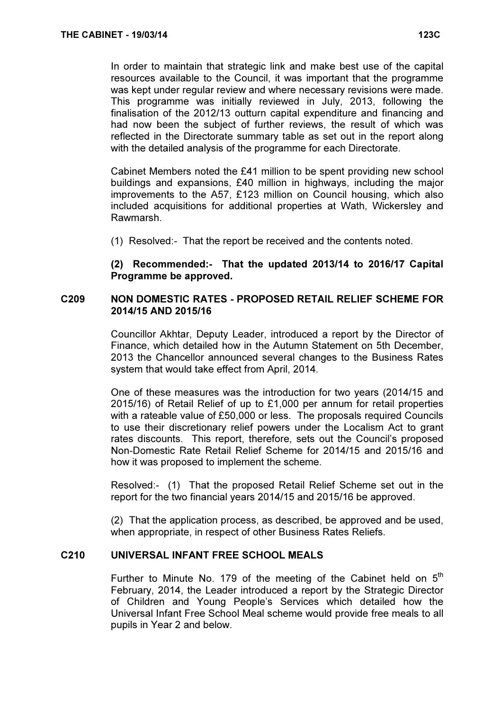In order to maintain that strategic link and make best use of the capital resources available to the Council, it was important that the programme was kept under regular review and where necessary revisions were made. This programme was initially reviewed in July, 2013, following the finalisation of the 2012/13 outturn capital expenditure and financing and had now been the subject of further reviews, the result of which was reflected in the Directorate summary table as set out in the report along with the detailed analysis of the programme for each Directorate.

Cabinet Members noted the £41 million to be spent providing new school buildings and expansions, £40 million in highways, including the major improvements to the A57, £123 million on Council housing, which also included acquisitions for additional properties at Wath, Wickersley and Rawmarsh.

(1) Resolved:- That the report be received and the contents noted.

(2) Recommended:- That the updated 2013/14 to 2016/17 Capital Programme be approved.

# C209 NON DOMESTIC RATES - PROPOSED RETAIL RELIEF SCHEME FOR 2014/15 AND 2015/16

 Councillor Akhtar, Deputy Leader, introduced a report by the Director of Finance, which detailed how in the Autumn Statement on 5th December, 2013 the Chancellor announced several changes to the Business Rates system that would take effect from April, 2014.

One of these measures was the introduction for two years (2014/15 and 2015/16) of Retail Relief of up to £1,000 per annum for retail properties with a rateable value of £50,000 or less. The proposals required Councils to use their discretionary relief powers under the Localism Act to grant rates discounts. This report, therefore, sets out the Council's proposed Non-Domestic Rate Retail Relief Scheme for 2014/15 and 2015/16 and how it was proposed to implement the scheme.

Resolved:- (1) That the proposed Retail Relief Scheme set out in the report for the two financial years 2014/15 and 2015/16 be approved.

(2) That the application process, as described, be approved and be used, when appropriate, in respect of other Business Rates Reliefs.

# C210 UNIVERSAL INFANT FREE SCHOOL MEALS

Further to Minute No. 179 of the meeting of the Cabinet held on  $5<sup>th</sup>$ February, 2014, the Leader introduced a report by the Strategic Director of Children and Young People's Services which detailed how the Universal Infant Free School Meal scheme would provide free meals to all pupils in Year 2 and below.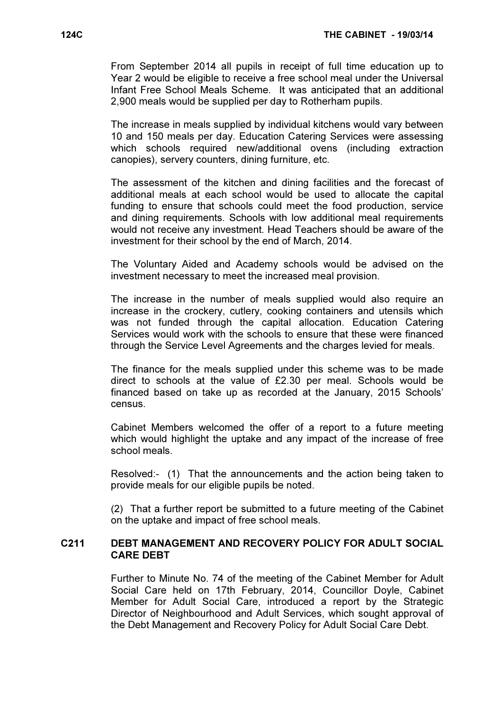From September 2014 all pupils in receipt of full time education up to Year 2 would be eligible to receive a free school meal under the Universal Infant Free School Meals Scheme. It was anticipated that an additional 2,900 meals would be supplied per day to Rotherham pupils.

The increase in meals supplied by individual kitchens would vary between 10 and 150 meals per day. Education Catering Services were assessing which schools required new/additional ovens (including extraction canopies), servery counters, dining furniture, etc.

The assessment of the kitchen and dining facilities and the forecast of additional meals at each school would be used to allocate the capital funding to ensure that schools could meet the food production, service and dining requirements. Schools with low additional meal requirements would not receive any investment. Head Teachers should be aware of the investment for their school by the end of March, 2014.

The Voluntary Aided and Academy schools would be advised on the investment necessary to meet the increased meal provision.

The increase in the number of meals supplied would also require an increase in the crockery, cutlery, cooking containers and utensils which was not funded through the capital allocation. Education Catering Services would work with the schools to ensure that these were financed through the Service Level Agreements and the charges levied for meals.

The finance for the meals supplied under this scheme was to be made direct to schools at the value of £2.30 per meal. Schools would be financed based on take up as recorded at the January, 2015 Schools' census.

Cabinet Members welcomed the offer of a report to a future meeting which would highlight the uptake and any impact of the increase of free school meals.

Resolved:- (1) That the announcements and the action being taken to provide meals for our eligible pupils be noted.

(2) That a further report be submitted to a future meeting of the Cabinet on the uptake and impact of free school meals.

# C211 DEBT MANAGEMENT AND RECOVERY POLICY FOR ADULT SOCIAL CARE DEBT

 Further to Minute No. 74 of the meeting of the Cabinet Member for Adult Social Care held on 17th February, 2014, Councillor Doyle, Cabinet Member for Adult Social Care, introduced a report by the Strategic Director of Neighbourhood and Adult Services, which sought approval of the Debt Management and Recovery Policy for Adult Social Care Debt.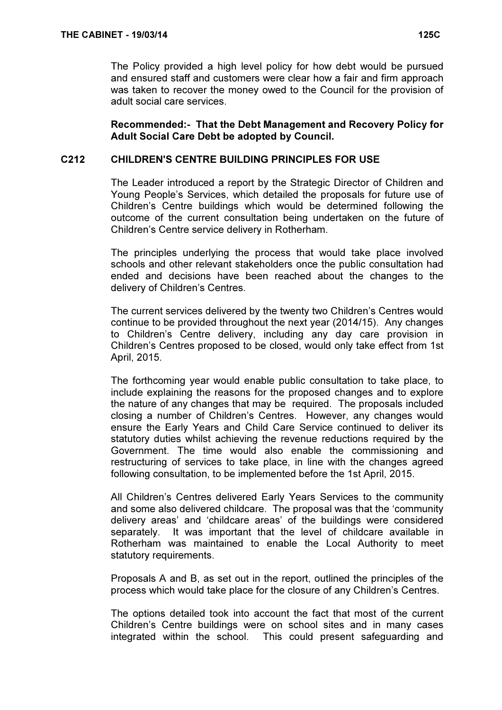The Policy provided a high level policy for how debt would be pursued and ensured staff and customers were clear how a fair and firm approach was taken to recover the money owed to the Council for the provision of adult social care services.

Recommended:- That the Debt Management and Recovery Policy for Adult Social Care Debt be adopted by Council.

# C212 CHILDREN'S CENTRE BUILDING PRINCIPLES FOR USE

 The Leader introduced a report by the Strategic Director of Children and Young People's Services, which detailed the proposals for future use of Children's Centre buildings which would be determined following the outcome of the current consultation being undertaken on the future of Children's Centre service delivery in Rotherham.

The principles underlying the process that would take place involved schools and other relevant stakeholders once the public consultation had ended and decisions have been reached about the changes to the delivery of Children's Centres.

The current services delivered by the twenty two Children's Centres would continue to be provided throughout the next year (2014/15). Any changes to Children's Centre delivery, including any day care provision in Children's Centres proposed to be closed, would only take effect from 1st April, 2015.

The forthcoming year would enable public consultation to take place, to include explaining the reasons for the proposed changes and to explore the nature of any changes that may be required. The proposals included closing a number of Children's Centres. However, any changes would ensure the Early Years and Child Care Service continued to deliver its statutory duties whilst achieving the revenue reductions required by the Government. The time would also enable the commissioning and restructuring of services to take place, in line with the changes agreed following consultation, to be implemented before the 1st April, 2015.

All Children's Centres delivered Early Years Services to the community and some also delivered childcare. The proposal was that the 'community delivery areas' and 'childcare areas' of the buildings were considered separately. It was important that the level of childcare available in Rotherham was maintained to enable the Local Authority to meet statutory requirements.

Proposals A and B, as set out in the report, outlined the principles of the process which would take place for the closure of any Children's Centres.

The options detailed took into account the fact that most of the current Children's Centre buildings were on school sites and in many cases integrated within the school. This could present safeguarding and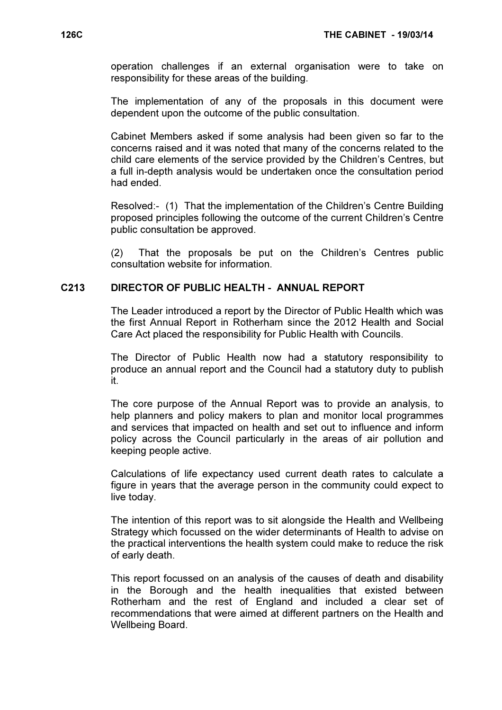operation challenges if an external organisation were to take on responsibility for these areas of the building.

The implementation of any of the proposals in this document were dependent upon the outcome of the public consultation.

Cabinet Members asked if some analysis had been given so far to the concerns raised and it was noted that many of the concerns related to the child care elements of the service provided by the Children's Centres, but a full in-depth analysis would be undertaken once the consultation period had ended.

Resolved:- (1) That the implementation of the Children's Centre Building proposed principles following the outcome of the current Children's Centre public consultation be approved.

(2) That the proposals be put on the Children's Centres public consultation website for information.

#### C213 DIRECTOR OF PUBLIC HEALTH - ANNUAL REPORT

 The Leader introduced a report by the Director of Public Health which was the first Annual Report in Rotherham since the 2012 Health and Social Care Act placed the responsibility for Public Health with Councils.

The Director of Public Health now had a statutory responsibility to produce an annual report and the Council had a statutory duty to publish it.

The core purpose of the Annual Report was to provide an analysis, to help planners and policy makers to plan and monitor local programmes and services that impacted on health and set out to influence and inform policy across the Council particularly in the areas of air pollution and keeping people active.

Calculations of life expectancy used current death rates to calculate a figure in years that the average person in the community could expect to live today.

The intention of this report was to sit alongside the Health and Wellbeing Strategy which focussed on the wider determinants of Health to advise on the practical interventions the health system could make to reduce the risk of early death.

This report focussed on an analysis of the causes of death and disability in the Borough and the health inequalities that existed between Rotherham and the rest of England and included a clear set of recommendations that were aimed at different partners on the Health and Wellbeing Board.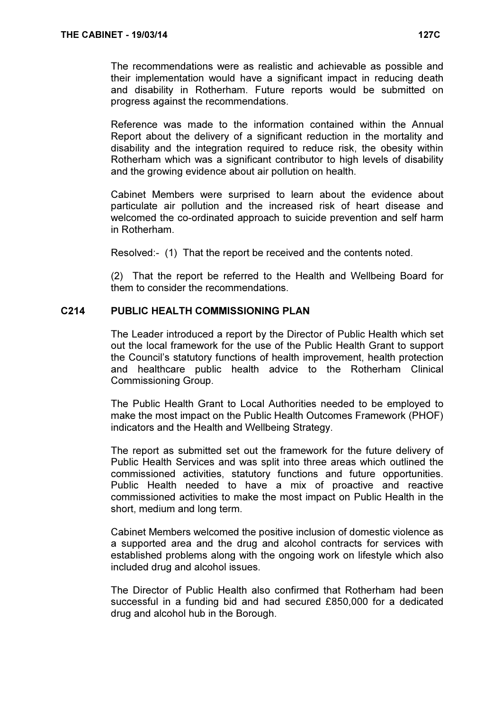The recommendations were as realistic and achievable as possible and their implementation would have a significant impact in reducing death and disability in Rotherham. Future reports would be submitted on progress against the recommendations.

Reference was made to the information contained within the Annual Report about the delivery of a significant reduction in the mortality and disability and the integration required to reduce risk, the obesity within Rotherham which was a significant contributor to high levels of disability and the growing evidence about air pollution on health.

Cabinet Members were surprised to learn about the evidence about particulate air pollution and the increased risk of heart disease and welcomed the co-ordinated approach to suicide prevention and self harm in Rotherham.

Resolved:- (1) That the report be received and the contents noted.

(2) That the report be referred to the Health and Wellbeing Board for them to consider the recommendations.

#### C<sub>214</sub> PUBLIC HEALTH COMMISSIONING PLAN

 The Leader introduced a report by the Director of Public Health which set out the local framework for the use of the Public Health Grant to support the Council's statutory functions of health improvement, health protection and healthcare public health advice to the Rotherham Clinical Commissioning Group.

The Public Health Grant to Local Authorities needed to be employed to make the most impact on the Public Health Outcomes Framework (PHOF) indicators and the Health and Wellbeing Strategy.

The report as submitted set out the framework for the future delivery of Public Health Services and was split into three areas which outlined the commissioned activities, statutory functions and future opportunities. Public Health needed to have a mix of proactive and reactive commissioned activities to make the most impact on Public Health in the short, medium and long term.

Cabinet Members welcomed the positive inclusion of domestic violence as a supported area and the drug and alcohol contracts for services with established problems along with the ongoing work on lifestyle which also included drug and alcohol issues.

The Director of Public Health also confirmed that Rotherham had been successful in a funding bid and had secured £850,000 for a dedicated drug and alcohol hub in the Borough.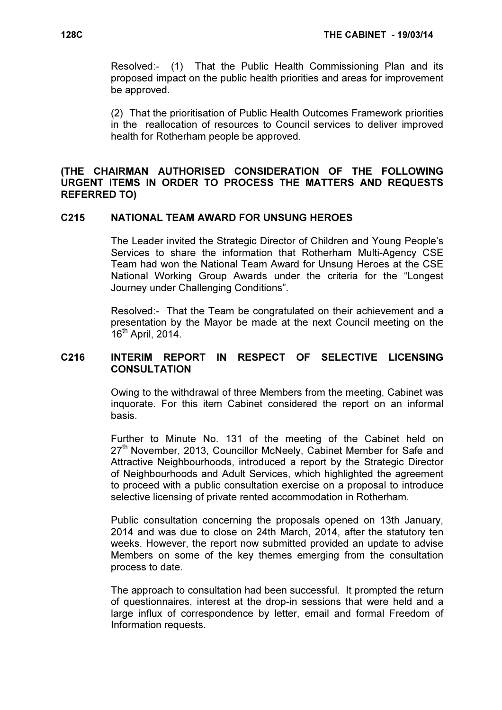Resolved:- (1) That the Public Health Commissioning Plan and its proposed impact on the public health priorities and areas for improvement be approved.

(2) That the prioritisation of Public Health Outcomes Framework priorities in the reallocation of resources to Council services to deliver improved health for Rotherham people be approved.

# (THE CHAIRMAN AUTHORISED CONSIDERATION OF THE FOLLOWING URGENT ITEMS IN ORDER TO PROCESS THE MATTERS AND REQUESTS REFERRED TO)

### C215 NATIONAL TEAM AWARD FOR UNSUNG HEROES

 The Leader invited the Strategic Director of Children and Young People's Services to share the information that Rotherham Multi-Agency CSE Team had won the National Team Award for Unsung Heroes at the CSE National Working Group Awards under the criteria for the "Longest Journey under Challenging Conditions".

Resolved:- That the Team be congratulated on their achievement and a presentation by the Mayor be made at the next Council meeting on the  $16<sup>th</sup>$  April, 2014.

#### C216 INTERIM REPORT IN RESPECT OF SELECTIVE LICENSING **CONSULTATION**

 Owing to the withdrawal of three Members from the meeting, Cabinet was inquorate. For this item Cabinet considered the report on an informal basis.

Further to Minute No. 131 of the meeting of the Cabinet held on  $27<sup>th</sup>$  November, 2013, Councillor McNeely, Cabinet Member for Safe and Attractive Neighbourhoods, introduced a report by the Strategic Director of Neighbourhoods and Adult Services, which highlighted the agreement to proceed with a public consultation exercise on a proposal to introduce selective licensing of private rented accommodation in Rotherham.

Public consultation concerning the proposals opened on 13th January, 2014 and was due to close on 24th March, 2014, after the statutory ten weeks. However, the report now submitted provided an update to advise Members on some of the key themes emerging from the consultation process to date.

The approach to consultation had been successful. It prompted the return of questionnaires, interest at the drop-in sessions that were held and a large influx of correspondence by letter, email and formal Freedom of Information requests.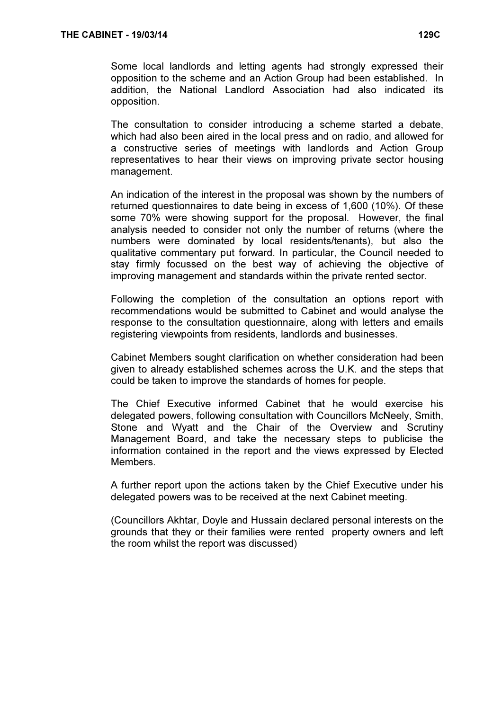Some local landlords and letting agents had strongly expressed their opposition to the scheme and an Action Group had been established. In addition, the National Landlord Association had also indicated its opposition.

The consultation to consider introducing a scheme started a debate, which had also been aired in the local press and on radio, and allowed for a constructive series of meetings with landlords and Action Group representatives to hear their views on improving private sector housing management.

An indication of the interest in the proposal was shown by the numbers of returned questionnaires to date being in excess of 1,600 (10%). Of these some 70% were showing support for the proposal. However, the final analysis needed to consider not only the number of returns (where the numbers were dominated by local residents/tenants), but also the qualitative commentary put forward. In particular, the Council needed to stay firmly focussed on the best way of achieving the objective of improving management and standards within the private rented sector.

Following the completion of the consultation an options report with recommendations would be submitted to Cabinet and would analyse the response to the consultation questionnaire, along with letters and emails registering viewpoints from residents, landlords and businesses.

Cabinet Members sought clarification on whether consideration had been given to already established schemes across the U.K. and the steps that could be taken to improve the standards of homes for people.

The Chief Executive informed Cabinet that he would exercise his delegated powers, following consultation with Councillors McNeely, Smith, Stone and Wyatt and the Chair of the Overview and Scrutiny Management Board, and take the necessary steps to publicise the information contained in the report and the views expressed by Elected Members.

A further report upon the actions taken by the Chief Executive under his delegated powers was to be received at the next Cabinet meeting.

(Councillors Akhtar, Doyle and Hussain declared personal interests on the grounds that they or their families were rented property owners and left the room whilst the report was discussed)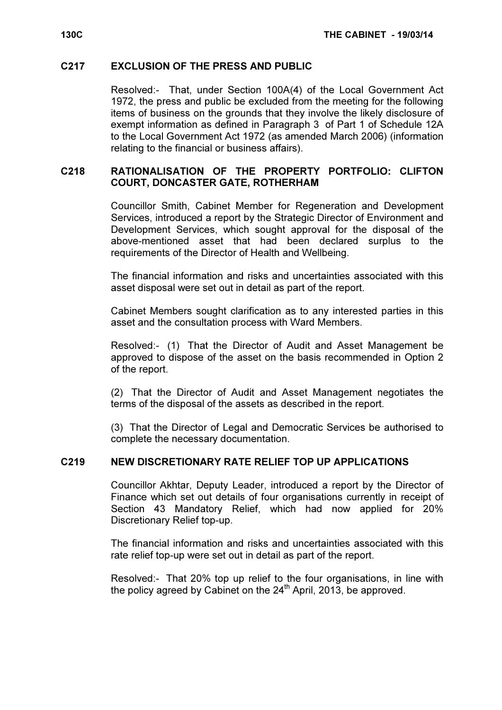#### C217 EXCLUSION OF THE PRESS AND PUBLIC

 Resolved:- That, under Section 100A(4) of the Local Government Act 1972, the press and public be excluded from the meeting for the following items of business on the grounds that they involve the likely disclosure of exempt information as defined in Paragraph 3 of Part 1 of Schedule 12A to the Local Government Act 1972 (as amended March 2006) (information relating to the financial or business affairs).

# C218 RATIONALISATION OF THE PROPERTY PORTFOLIO: CLIFTON COURT, DONCASTER GATE, ROTHERHAM

 Councillor Smith, Cabinet Member for Regeneration and Development Services, introduced a report by the Strategic Director of Environment and Development Services, which sought approval for the disposal of the above-mentioned asset that had been declared surplus to the requirements of the Director of Health and Wellbeing.

The financial information and risks and uncertainties associated with this asset disposal were set out in detail as part of the report.

Cabinet Members sought clarification as to any interested parties in this asset and the consultation process with Ward Members.

Resolved:- (1) That the Director of Audit and Asset Management be approved to dispose of the asset on the basis recommended in Option 2 of the report.

(2) That the Director of Audit and Asset Management negotiates the terms of the disposal of the assets as described in the report.

(3) That the Director of Legal and Democratic Services be authorised to complete the necessary documentation.

# C219 NEW DISCRETIONARY RATE RELIEF TOP UP APPLICATIONS

 Councillor Akhtar, Deputy Leader, introduced a report by the Director of Finance which set out details of four organisations currently in receipt of Section 43 Mandatory Relief, which had now applied for 20% Discretionary Relief top-up.

The financial information and risks and uncertainties associated with this rate relief top-up were set out in detail as part of the report.

Resolved:- That 20% top up relief to the four organisations, in line with the policy agreed by Cabinet on the  $24<sup>th</sup>$  April, 2013, be approved.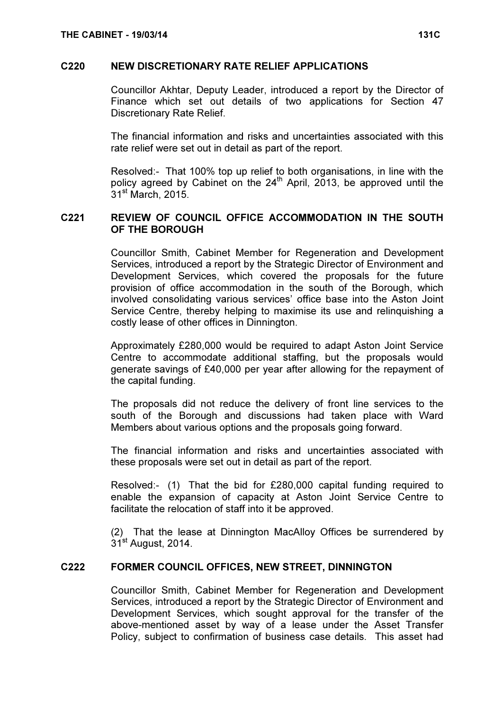#### C220 NEW DISCRETIONARY RATE RELIEF APPLICATIONS

 Councillor Akhtar, Deputy Leader, introduced a report by the Director of Finance which set out details of two applications for Section 47 Discretionary Rate Relief.

The financial information and risks and uncertainties associated with this rate relief were set out in detail as part of the report.

Resolved:- That 100% top up relief to both organisations, in line with the policy agreed by Cabinet on the 24<sup>th</sup> April, 2013, be approved until the 31<sup>st</sup> March, 2015.

# C221 REVIEW OF COUNCIL OFFICE ACCOMMODATION IN THE SOUTH OF THE BOROUGH

 Councillor Smith, Cabinet Member for Regeneration and Development Services, introduced a report by the Strategic Director of Environment and Development Services, which covered the proposals for the future provision of office accommodation in the south of the Borough, which involved consolidating various services' office base into the Aston Joint Service Centre, thereby helping to maximise its use and relinquishing a costly lease of other offices in Dinnington.

Approximately £280,000 would be required to adapt Aston Joint Service Centre to accommodate additional staffing, but the proposals would generate savings of £40,000 per year after allowing for the repayment of the capital funding.

The proposals did not reduce the delivery of front line services to the south of the Borough and discussions had taken place with Ward Members about various options and the proposals going forward.

The financial information and risks and uncertainties associated with these proposals were set out in detail as part of the report.

Resolved:- (1) That the bid for £280,000 capital funding required to enable the expansion of capacity at Aston Joint Service Centre to facilitate the relocation of staff into it be approved.

(2) That the lease at Dinnington MacAlloy Offices be surrendered by 31<sup>st</sup> August, 2014.

# C222 FORMER COUNCIL OFFICES, NEW STREET, DINNINGTON

 Councillor Smith, Cabinet Member for Regeneration and Development Services, introduced a report by the Strategic Director of Environment and Development Services, which sought approval for the transfer of the above-mentioned asset by way of a lease under the Asset Transfer Policy, subject to confirmation of business case details. This asset had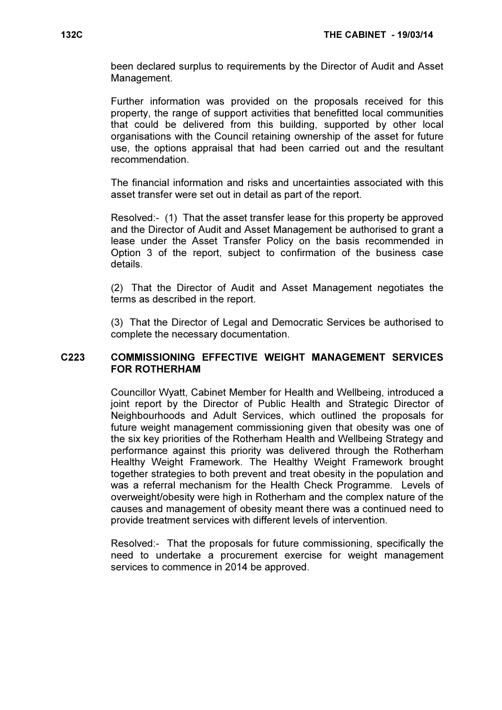been declared surplus to requirements by the Director of Audit and Asset Management.

Further information was provided on the proposals received for this property, the range of support activities that benefitted local communities that could be delivered from this building, supported by other local organisations with the Council retaining ownership of the asset for future use, the options appraisal that had been carried out and the resultant recommendation.

The financial information and risks and uncertainties associated with this asset transfer were set out in detail as part of the report.

Resolved:- (1) That the asset transfer lease for this property be approved and the Director of Audit and Asset Management be authorised to grant a lease under the Asset Transfer Policy on the basis recommended in Option 3 of the report, subject to confirmation of the business case details.

(2) That the Director of Audit and Asset Management negotiates the terms as described in the report.

(3) That the Director of Legal and Democratic Services be authorised to complete the necessary documentation.

### C223 COMMISSIONING EFFECTIVE WEIGHT MANAGEMENT SERVICES FOR ROTHERHAM

 Councillor Wyatt, Cabinet Member for Health and Wellbeing, introduced a joint report by the Director of Public Health and Strategic Director of Neighbourhoods and Adult Services, which outlined the proposals for future weight management commissioning given that obesity was one of the six key priorities of the Rotherham Health and Wellbeing Strategy and performance against this priority was delivered through the Rotherham Healthy Weight Framework. The Healthy Weight Framework brought together strategies to both prevent and treat obesity in the population and was a referral mechanism for the Health Check Programme. Levels of overweight/obesity were high in Rotherham and the complex nature of the causes and management of obesity meant there was a continued need to provide treatment services with different levels of intervention.

Resolved:- That the proposals for future commissioning, specifically the need to undertake a procurement exercise for weight management services to commence in 2014 be approved.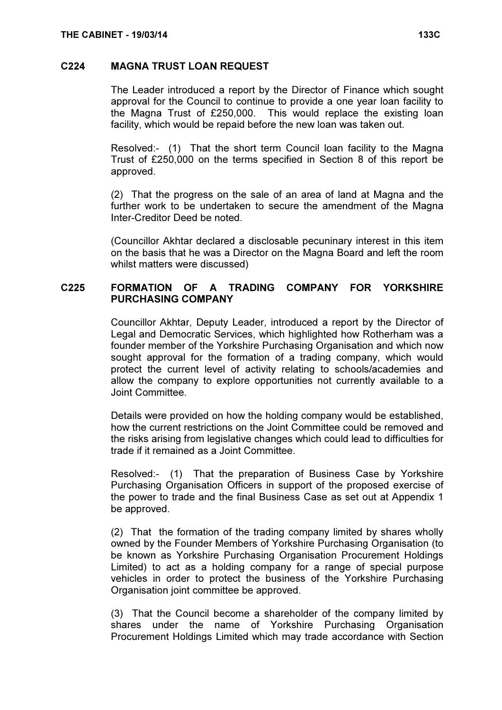#### C224 MAGNA TRUST LOAN REQUEST

 The Leader introduced a report by the Director of Finance which sought approval for the Council to continue to provide a one year loan facility to the Magna Trust of £250,000. This would replace the existing loan facility, which would be repaid before the new loan was taken out.

Resolved:- (1) That the short term Council loan facility to the Magna Trust of £250,000 on the terms specified in Section 8 of this report be approved.

(2) That the progress on the sale of an area of land at Magna and the further work to be undertaken to secure the amendment of the Magna Inter-Creditor Deed be noted.

(Councillor Akhtar declared a disclosable pecuninary interest in this item on the basis that he was a Director on the Magna Board and left the room whilst matters were discussed)

# C225 FORMATION OF A TRADING COMPANY FOR YORKSHIRE PURCHASING COMPANY

 Councillor Akhtar, Deputy Leader, introduced a report by the Director of Legal and Democratic Services, which highlighted how Rotherham was a founder member of the Yorkshire Purchasing Organisation and which now sought approval for the formation of a trading company, which would protect the current level of activity relating to schools/academies and allow the company to explore opportunities not currently available to a Joint Committee.

Details were provided on how the holding company would be established, how the current restrictions on the Joint Committee could be removed and the risks arising from legislative changes which could lead to difficulties for trade if it remained as a Joint Committee.

Resolved:- (1) That the preparation of Business Case by Yorkshire Purchasing Organisation Officers in support of the proposed exercise of the power to trade and the final Business Case as set out at Appendix 1 be approved.

(2) That the formation of the trading company limited by shares wholly owned by the Founder Members of Yorkshire Purchasing Organisation (to be known as Yorkshire Purchasing Organisation Procurement Holdings Limited) to act as a holding company for a range of special purpose vehicles in order to protect the business of the Yorkshire Purchasing Organisation joint committee be approved.

(3) That the Council become a shareholder of the company limited by shares under the name of Yorkshire Purchasing Organisation Procurement Holdings Limited which may trade accordance with Section